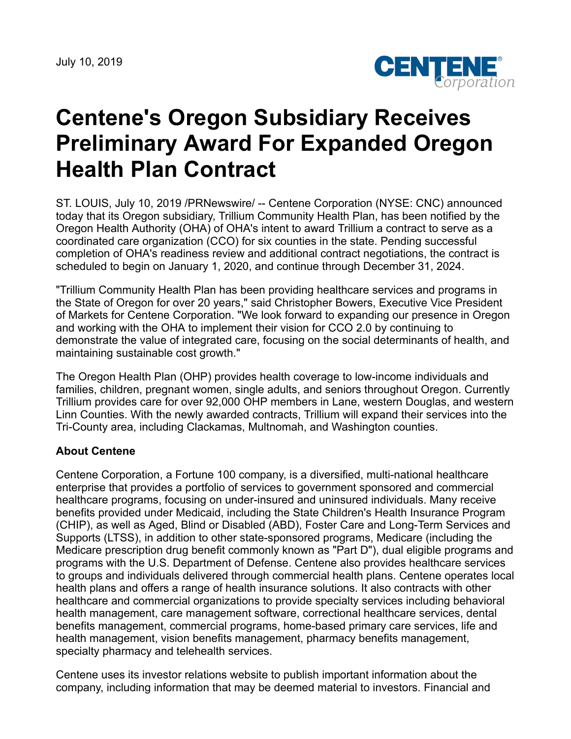July 10, 2019



## **Centene's Oregon Subsidiary Receives Preliminary Award For Expanded Oregon Health Plan Contract**

ST. LOUIS, July 10, 2019 /PRNewswire/ -- Centene Corporation (NYSE: CNC) announced today that its Oregon subsidiary, Trillium Community Health Plan, has been notified by the Oregon Health Authority (OHA) of OHA's intent to award Trillium a contract to serve as a coordinated care organization (CCO) for six counties in the state. Pending successful completion of OHA's readiness review and additional contract negotiations, the contract is scheduled to begin on January 1, 2020, and continue through December 31, 2024.

"Trillium Community Health Plan has been providing healthcare services and programs in the State of Oregon for over 20 years," said Christopher Bowers, Executive Vice President of Markets for Centene Corporation. "We look forward to expanding our presence in Oregon and working with the OHA to implement their vision for CCO 2.0 by continuing to demonstrate the value of integrated care, focusing on the social determinants of health, and maintaining sustainable cost growth."

The Oregon Health Plan (OHP) provides health coverage to low-income individuals and families, children, pregnant women, single adults, and seniors throughout Oregon. Currently Trillium provides care for over 92,000 OHP members in Lane, western Douglas, and western Linn Counties. With the newly awarded contracts, Trillium will expand their services into the Tri-County area, including Clackamas, Multnomah, and Washington counties.

## **About Centene**

Centene Corporation, a Fortune 100 company, is a diversified, multi-national healthcare enterprise that provides a portfolio of services to government sponsored and commercial healthcare programs, focusing on under-insured and uninsured individuals. Many receive benefits provided under Medicaid, including the State Children's Health Insurance Program (CHIP), as well as Aged, Blind or Disabled (ABD), Foster Care and Long-Term Services and Supports (LTSS), in addition to other state-sponsored programs, Medicare (including the Medicare prescription drug benefit commonly known as "Part D"), dual eligible programs and programs with the U.S. Department of Defense. Centene also provides healthcare services to groups and individuals delivered through commercial health plans. Centene operates local health plans and offers a range of health insurance solutions. It also contracts with other healthcare and commercial organizations to provide specialty services including behavioral health management, care management software, correctional healthcare services, dental benefits management, commercial programs, home-based primary care services, life and health management, vision benefits management, pharmacy benefits management, specialty pharmacy and telehealth services.

Centene uses its investor relations website to publish important information about the company, including information that may be deemed material to investors. Financial and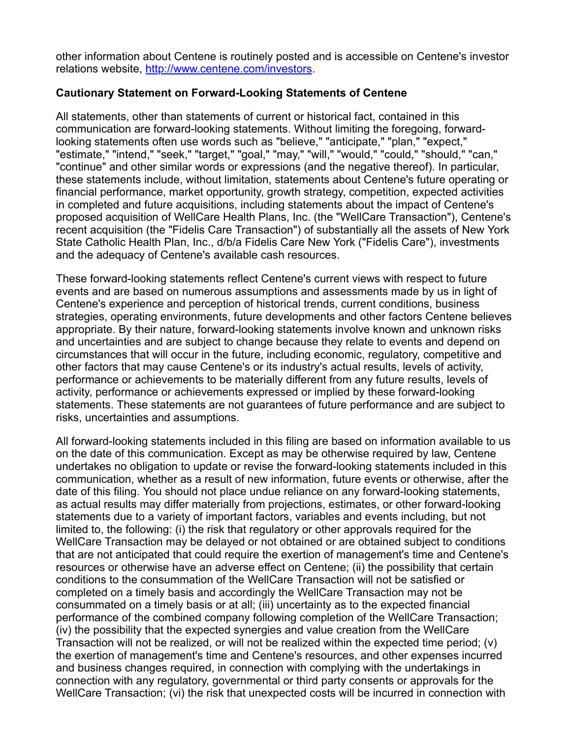other information about Centene is routinely posted and is accessible on Centene's investor relations website, <http://www.centene.com/investors>.

## **Cautionary Statement on Forward-Looking Statements of Centene**

All statements, other than statements of current or historical fact, contained in this communication are forward-looking statements. Without limiting the foregoing, forwardlooking statements often use words such as "believe," "anticipate," "plan," "expect," "estimate," "intend," "seek," "target," "goal," "may," "will," "would," "could," "should," "can," "continue" and other similar words or expressions (and the negative thereof). In particular, these statements include, without limitation, statements about Centene's future operating or financial performance, market opportunity, growth strategy, competition, expected activities in completed and future acquisitions, including statements about the impact of Centene's proposed acquisition of WellCare Health Plans, Inc. (the "WellCare Transaction"), Centene's recent acquisition (the "Fidelis Care Transaction") of substantially all the assets of New York State Catholic Health Plan, Inc., d/b/a Fidelis Care New York ("Fidelis Care"), investments and the adequacy of Centene's available cash resources.

These forward-looking statements reflect Centene's current views with respect to future events and are based on numerous assumptions and assessments made by us in light of Centene's experience and perception of historical trends, current conditions, business strategies, operating environments, future developments and other factors Centene believes appropriate. By their nature, forward-looking statements involve known and unknown risks and uncertainties and are subject to change because they relate to events and depend on circumstances that will occur in the future, including economic, regulatory, competitive and other factors that may cause Centene's or its industry's actual results, levels of activity, performance or achievements to be materially different from any future results, levels of activity, performance or achievements expressed or implied by these forward-looking statements. These statements are not guarantees of future performance and are subject to risks, uncertainties and assumptions.

All forward-looking statements included in this filing are based on information available to us on the date of this communication. Except as may be otherwise required by law, Centene undertakes no obligation to update or revise the forward-looking statements included in this communication, whether as a result of new information, future events or otherwise, after the date of this filing. You should not place undue reliance on any forward-looking statements, as actual results may differ materially from projections, estimates, or other forward-looking statements due to a variety of important factors, variables and events including, but not limited to, the following: (i) the risk that regulatory or other approvals required for the WellCare Transaction may be delayed or not obtained or are obtained subject to conditions that are not anticipated that could require the exertion of management's time and Centene's resources or otherwise have an adverse effect on Centene; (ii) the possibility that certain conditions to the consummation of the WellCare Transaction will not be satisfied or completed on a timely basis and accordingly the WellCare Transaction may not be consummated on a timely basis or at all; (iii) uncertainty as to the expected financial performance of the combined company following completion of the WellCare Transaction; (iv) the possibility that the expected synergies and value creation from the WellCare Transaction will not be realized, or will not be realized within the expected time period; (v) the exertion of management's time and Centene's resources, and other expenses incurred and business changes required, in connection with complying with the undertakings in connection with any regulatory, governmental or third party consents or approvals for the WellCare Transaction; (vi) the risk that unexpected costs will be incurred in connection with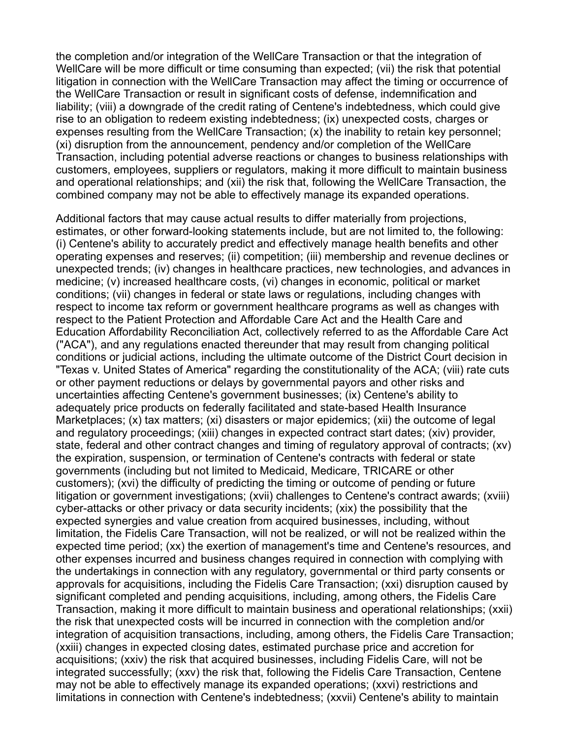the completion and/or integration of the WellCare Transaction or that the integration of WellCare will be more difficult or time consuming than expected; (vii) the risk that potential litigation in connection with the WellCare Transaction may affect the timing or occurrence of the WellCare Transaction or result in significant costs of defense, indemnification and liability; (viii) a downgrade of the credit rating of Centene's indebtedness, which could give rise to an obligation to redeem existing indebtedness; (ix) unexpected costs, charges or expenses resulting from the WellCare Transaction; (x) the inability to retain key personnel; (xi) disruption from the announcement, pendency and/or completion of the WellCare Transaction, including potential adverse reactions or changes to business relationships with customers, employees, suppliers or regulators, making it more difficult to maintain business and operational relationships; and (xii) the risk that, following the WellCare Transaction, the combined company may not be able to effectively manage its expanded operations.

Additional factors that may cause actual results to differ materially from projections, estimates, or other forward-looking statements include, but are not limited to, the following: (i) Centene's ability to accurately predict and effectively manage health benefits and other operating expenses and reserves; (ii) competition; (iii) membership and revenue declines or unexpected trends; (iv) changes in healthcare practices, new technologies, and advances in medicine; (v) increased healthcare costs, (vi) changes in economic, political or market conditions; (vii) changes in federal or state laws or regulations, including changes with respect to income tax reform or government healthcare programs as well as changes with respect to the Patient Protection and Affordable Care Act and the Health Care and Education Affordability Reconciliation Act, collectively referred to as the Affordable Care Act ("ACA"), and any regulations enacted thereunder that may result from changing political conditions or judicial actions, including the ultimate outcome of the District Court decision in "Texas v. United States of America" regarding the constitutionality of the ACA; (viii) rate cuts or other payment reductions or delays by governmental payors and other risks and uncertainties affecting Centene's government businesses; (ix) Centene's ability to adequately price products on federally facilitated and state-based Health Insurance Marketplaces; (x) tax matters; (xi) disasters or major epidemics; (xii) the outcome of legal and regulatory proceedings; (xiii) changes in expected contract start dates; (xiv) provider, state, federal and other contract changes and timing of regulatory approval of contracts; (xv) the expiration, suspension, or termination of Centene's contracts with federal or state governments (including but not limited to Medicaid, Medicare, TRICARE or other customers); (xvi) the difficulty of predicting the timing or outcome of pending or future litigation or government investigations; (xvii) challenges to Centene's contract awards; (xviii) cyber-attacks or other privacy or data security incidents; (xix) the possibility that the expected synergies and value creation from acquired businesses, including, without limitation, the Fidelis Care Transaction, will not be realized, or will not be realized within the expected time period; (xx) the exertion of management's time and Centene's resources, and other expenses incurred and business changes required in connection with complying with the undertakings in connection with any regulatory, governmental or third party consents or approvals for acquisitions, including the Fidelis Care Transaction; (xxi) disruption caused by significant completed and pending acquisitions, including, among others, the Fidelis Care Transaction, making it more difficult to maintain business and operational relationships; (xxii) the risk that unexpected costs will be incurred in connection with the completion and/or integration of acquisition transactions, including, among others, the Fidelis Care Transaction; (xxiii) changes in expected closing dates, estimated purchase price and accretion for acquisitions; (xxiv) the risk that acquired businesses, including Fidelis Care, will not be integrated successfully; (xxv) the risk that, following the Fidelis Care Transaction, Centene may not be able to effectively manage its expanded operations; (xxvi) restrictions and limitations in connection with Centene's indebtedness; (xxvii) Centene's ability to maintain